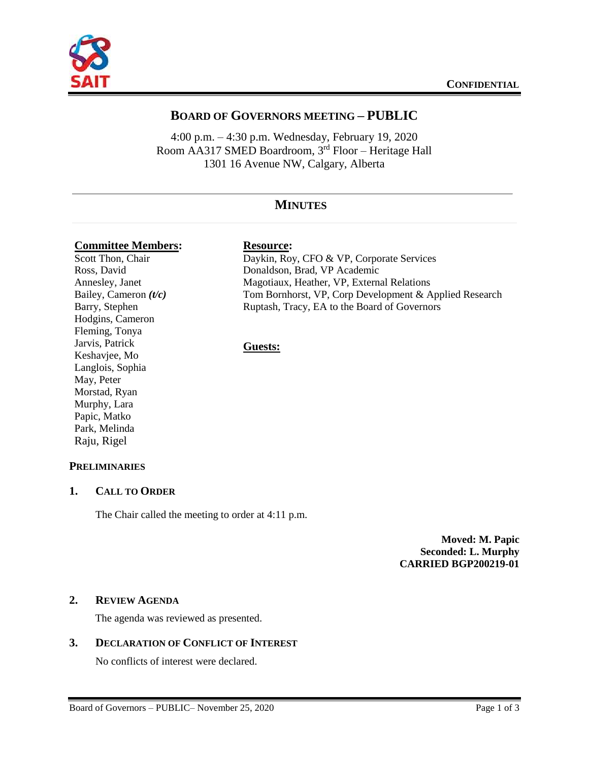

# **BOARD OF GOVERNORS MEETING – PUBLIC**

4:00 p.m. – 4:30 p.m. Wednesday, February 19, 2020 Room AA317 SMED Boardroom, 3rd Floor – Heritage Hall 1301 16 Avenue NW, Calgary, Alberta

# **MINUTES**

### **Committee Members: Resource:**

Scott Thon, Chair Ross, David Annesley, Janet Bailey, Cameron *(t/c)* Barry, Stephen Hodgins, Cameron Fleming, Tonya Jarvis, Patrick Keshavjee, Mo Langlois, Sophia May, Peter Morstad, Ryan Murphy, Lara Papic, Matko Park, Melinda Raju, Rigel

Daykin, Roy, CFO & VP, Corporate Services Donaldson, Brad, VP Academic Magotiaux, Heather, VP, External Relations Tom Bornhorst, VP, Corp Development & Applied Research Ruptash, Tracy, EA to the Board of Governors

# **Guests:**

# **PRELIMINARIES**

#### **1. CALL TO ORDER**

The Chair called the meeting to order at 4:11 p.m.

**Moved: M. Papic Seconded: L. Murphy CARRIED BGP200219-01**

#### **2. REVIEW AGENDA**

The agenda was reviewed as presented.

# **3. DECLARATION OF CONFLICT OF INTEREST**

No conflicts of interest were declared.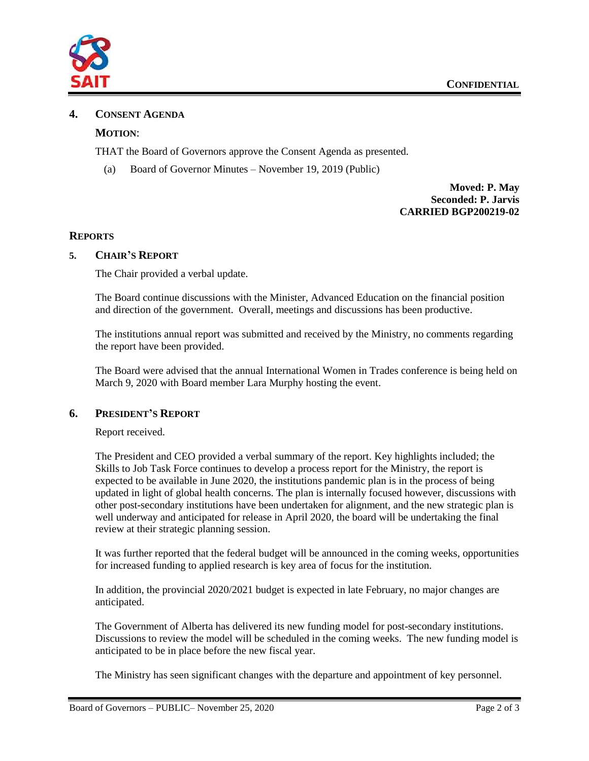

### **4. CONSENT AGENDA**

## **MOTION**:

THAT the Board of Governors approve the Consent Agenda as presented.

(a) Board of Governor Minutes – November 19, 2019 (Public)

**Moved: P. May Seconded: P. Jarvis CARRIED BGP200219-02**

#### **REPORTS**

#### **5. CHAIR'S REPORT**

The Chair provided a verbal update.

The Board continue discussions with the Minister, Advanced Education on the financial position and direction of the government. Overall, meetings and discussions has been productive.

The institutions annual report was submitted and received by the Ministry, no comments regarding the report have been provided.

The Board were advised that the annual International Women in Trades conference is being held on March 9, 2020 with Board member Lara Murphy hosting the event.

#### **6. PRESIDENT'S REPORT**

Report received.

The President and CEO provided a verbal summary of the report. Key highlights included; the Skills to Job Task Force continues to develop a process report for the Ministry, the report is expected to be available in June 2020, the institutions pandemic plan is in the process of being updated in light of global health concerns. The plan is internally focused however, discussions with other post-secondary institutions have been undertaken for alignment, and the new strategic plan is well underway and anticipated for release in April 2020, the board will be undertaking the final review at their strategic planning session.

It was further reported that the federal budget will be announced in the coming weeks, opportunities for increased funding to applied research is key area of focus for the institution.

In addition, the provincial 2020/2021 budget is expected in late February, no major changes are anticipated.

The Government of Alberta has delivered its new funding model for post-secondary institutions. Discussions to review the model will be scheduled in the coming weeks. The new funding model is anticipated to be in place before the new fiscal year.

The Ministry has seen significant changes with the departure and appointment of key personnel.